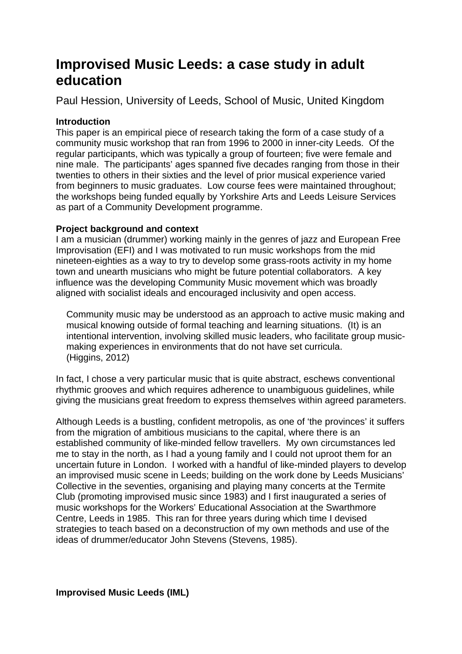# **Improvised Music Leeds: a case study in adult education**

Paul Hession, University of Leeds, School of Music, United Kingdom

# **Introduction**

This paper is an empirical piece of research taking the form of a case study of a community music workshop that ran from 1996 to 2000 in inner-city Leeds. Of the regular participants, which was typically a group of fourteen; five were female and nine male. The participants' ages spanned five decades ranging from those in their twenties to others in their sixties and the level of prior musical experience varied from beginners to music graduates. Low course fees were maintained throughout; the workshops being funded equally by Yorkshire Arts and Leeds Leisure Services as part of a Community Development programme.

# **Project background and context**

I am a musician (drummer) working mainly in the genres of jazz and European Free Improvisation (EFI) and I was motivated to run music workshops from the mid nineteen-eighties as a way to try to develop some grass-roots activity in my home town and unearth musicians who might be future potential collaborators. A key influence was the developing Community Music movement which was broadly aligned with socialist ideals and encouraged inclusivity and open access.

 Community music may be understood as an approach to active music making and musical knowing outside of formal teaching and learning situations. (It) is an intentional intervention, involving skilled music leaders, who facilitate group music making experiences in environments that do not have set curricula. (Higgins, 2012)

In fact, I chose a very particular music that is quite abstract, eschews conventional rhythmic grooves and which requires adherence to unambiguous guidelines, while giving the musicians great freedom to express themselves within agreed parameters.

Although Leeds is a bustling, confident metropolis, as one of 'the provinces' it suffers from the migration of ambitious musicians to the capital, where there is an established community of like-minded fellow travellers. My own circumstances led me to stay in the north, as I had a young family and I could not uproot them for an uncertain future in London. I worked with a handful of like-minded players to develop an improvised music scene in Leeds; building on the work done by Leeds Musicians' Collective in the seventies, organising and playing many concerts at the Termite Club (promoting improvised music since 1983) and I first inaugurated a series of music workshops for the Workers' Educational Association at the Swarthmore Centre, Leeds in 1985. This ran for three years during which time I devised strategies to teach based on a deconstruction of my own methods and use of the ideas of drummer/educator John Stevens (Stevens, 1985).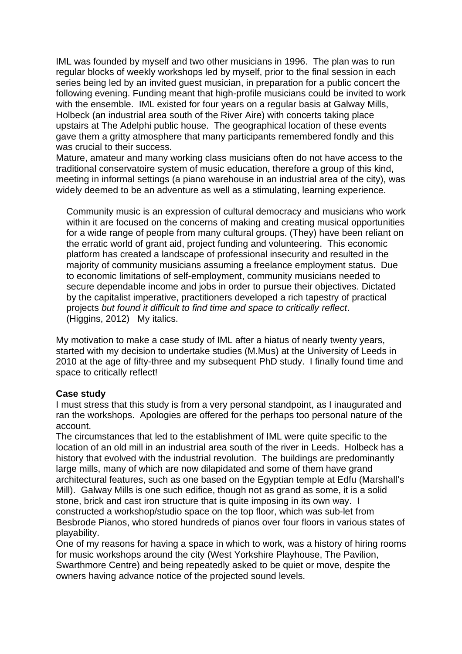IML was founded by myself and two other musicians in 1996. The plan was to run regular blocks of weekly workshops led by myself, prior to the final session in each series being led by an invited guest musician, in preparation for a public concert the following evening. Funding meant that high-profile musicians could be invited to work with the ensemble. IML existed for four years on a regular basis at Galway Mills, Holbeck (an industrial area south of the River Aire) with concerts taking place upstairs at The Adelphi public house. The geographical location of these events gave them a gritty atmosphere that many participants remembered fondly and this was crucial to their success.

Mature, amateur and many working class musicians often do not have access to the traditional conservatoire system of music education, therefore a group of this kind, meeting in informal settings (a piano warehouse in an industrial area of the city), was widely deemed to be an adventure as well as a stimulating, learning experience.

 Community music is an expression of cultural democracy and musicians who work within it are focused on the concerns of making and creating musical opportunities for a wide range of people from many cultural groups. (They) have been reliant on the erratic world of grant aid, project funding and volunteering. This economic platform has created a landscape of professional insecurity and resulted in the majority of community musicians assuming a freelance employment status. Due to economic limitations of self-employment, community musicians needed to secure dependable income and jobs in order to pursue their objectives. Dictated by the capitalist imperative, practitioners developed a rich tapestry of practical projects *but found it difficult to find time and space to critically reflect*. (Higgins, 2012) My italics.

My motivation to make a case study of IML after a hiatus of nearly twenty years, started with my decision to undertake studies (M.Mus) at the University of Leeds in 2010 at the age of fifty-three and my subsequent PhD study. I finally found time and space to critically reflect!

## **Case study**

I must stress that this study is from a very personal standpoint, as I inaugurated and ran the workshops. Apologies are offered for the perhaps too personal nature of the account.

The circumstances that led to the establishment of IML were quite specific to the location of an old mill in an industrial area south of the river in Leeds. Holbeck has a history that evolved with the industrial revolution. The buildings are predominantly large mills, many of which are now dilapidated and some of them have grand architectural features, such as one based on the Egyptian temple at Edfu (Marshall's Mill). Galway Mills is one such edifice, though not as grand as some, it is a solid stone, brick and cast iron structure that is quite imposing in its own way. I constructed a workshop/studio space on the top floor, which was sub-let from Besbrode Pianos, who stored hundreds of pianos over four floors in various states of playability.

One of my reasons for having a space in which to work, was a history of hiring rooms for music workshops around the city (West Yorkshire Playhouse, The Pavilion, Swarthmore Centre) and being repeatedly asked to be quiet or move, despite the owners having advance notice of the projected sound levels.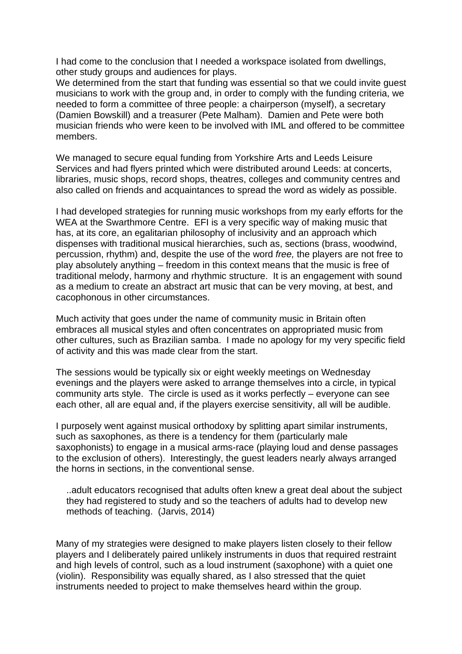I had come to the conclusion that I needed a workspace isolated from dwellings, other study groups and audiences for plays.

We determined from the start that funding was essential so that we could invite quest musicians to work with the group and, in order to comply with the funding criteria, we needed to form a committee of three people: a chairperson (myself), a secretary (Damien Bowskill) and a treasurer (Pete Malham). Damien and Pete were both musician friends who were keen to be involved with IML and offered to be committee members.

We managed to secure equal funding from Yorkshire Arts and Leeds Leisure Services and had flyers printed which were distributed around Leeds: at concerts, libraries, music shops, record shops, theatres, colleges and community centres and also called on friends and acquaintances to spread the word as widely as possible.

I had developed strategies for running music workshops from my early efforts for the WEA at the Swarthmore Centre. EFI is a very specific way of making music that has, at its core, an egalitarian philosophy of inclusivity and an approach which dispenses with traditional musical hierarchies, such as, sections (brass, woodwind, percussion, rhythm) and, despite the use of the word *free,* the players are not free to play absolutely anything – freedom in this context means that the music is free of traditional melody, harmony and rhythmic structure. It is an engagement with sound as a medium to create an abstract art music that can be very moving, at best, and cacophonous in other circumstances.

Much activity that goes under the name of community music in Britain often embraces all musical styles and often concentrates on appropriated music from other cultures, such as Brazilian samba. I made no apology for my very specific field of activity and this was made clear from the start.

The sessions would be typically six or eight weekly meetings on Wednesday evenings and the players were asked to arrange themselves into a circle, in typical community arts style. The circle is used as it works perfectly – everyone can see each other, all are equal and, if the players exercise sensitivity, all will be audible.

I purposely went against musical orthodoxy by splitting apart similar instruments, such as saxophones, as there is a tendency for them (particularly male saxophonists) to engage in a musical arms-race (playing loud and dense passages to the exclusion of others). Interestingly, the guest leaders nearly always arranged the horns in sections, in the conventional sense.

 ..adult educators recognised that adults often knew a great deal about the subject they had registered to study and so the teachers of adults had to develop new methods of teaching. (Jarvis, 2014)

Many of my strategies were designed to make players listen closely to their fellow players and I deliberately paired unlikely instruments in duos that required restraint and high levels of control, such as a loud instrument (saxophone) with a quiet one (violin). Responsibility was equally shared, as I also stressed that the quiet instruments needed to project to make themselves heard within the group.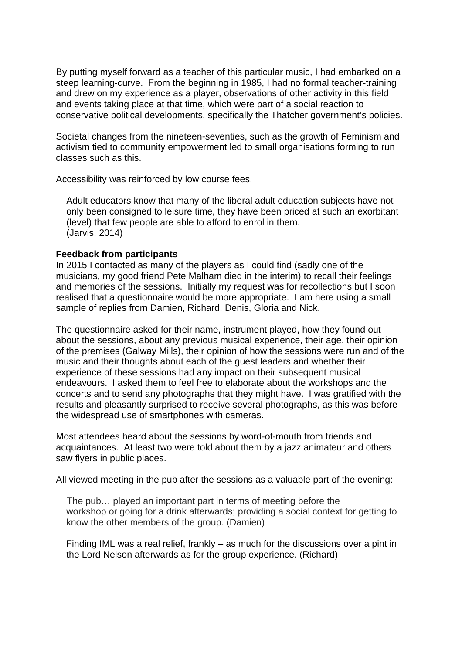By putting myself forward as a teacher of this particular music, I had embarked on a steep learning-curve. From the beginning in 1985, I had no formal teacher-training and drew on my experience as a player, observations of other activity in this field and events taking place at that time, which were part of a social reaction to conservative political developments, specifically the Thatcher government's policies.

Societal changes from the nineteen-seventies, such as the growth of Feminism and activism tied to community empowerment led to small organisations forming to run classes such as this.

Accessibility was reinforced by low course fees.

 Adult educators know that many of the liberal adult education subjects have not only been consigned to leisure time, they have been priced at such an exorbitant (level) that few people are able to afford to enrol in them. (Jarvis, 2014)

#### **Feedback from participants**

In 2015 I contacted as many of the players as I could find (sadly one of the musicians, my good friend Pete Malham died in the interim) to recall their feelings and memories of the sessions. Initially my request was for recollections but I soon realised that a questionnaire would be more appropriate. I am here using a small sample of replies from Damien, Richard, Denis, Gloria and Nick.

The questionnaire asked for their name, instrument played, how they found out about the sessions, about any previous musical experience, their age, their opinion of the premises (Galway Mills), their opinion of how the sessions were run and of the music and their thoughts about each of the guest leaders and whether their experience of these sessions had any impact on their subsequent musical endeavours. I asked them to feel free to elaborate about the workshops and the concerts and to send any photographs that they might have. I was gratified with the results and pleasantly surprised to receive several photographs, as this was before the widespread use of smartphones with cameras.

Most attendees heard about the sessions by word-of-mouth from friends and acquaintances. At least two were told about them by a jazz animateur and others saw flyers in public places.

All viewed meeting in the pub after the sessions as a valuable part of the evening:

 The pub… played an important part in terms of meeting before the workshop or going for a drink afterwards; providing a social context for getting to know the other members of the group. (Damien)

 Finding IML was a real relief, frankly – as much for the discussions over a pint in the Lord Nelson afterwards as for the group experience. (Richard)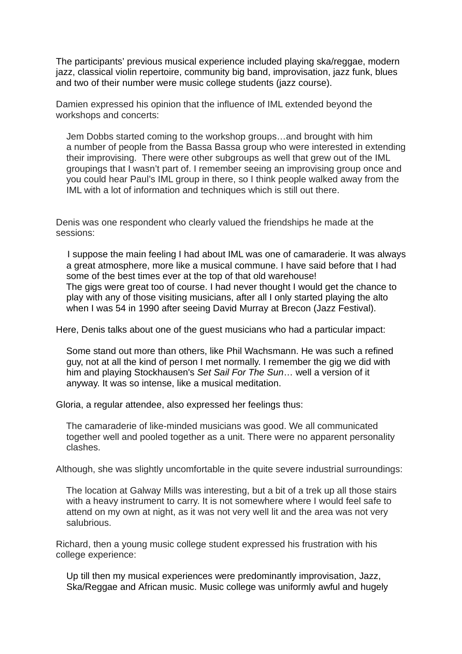The participants' previous musical experience included playing ska/reggae, modern jazz, classical violin repertoire, community big band, improvisation, jazz funk, blues and two of their number were music college students (jazz course).

Damien expressed his opinion that the influence of IML extended beyond the workshops and concerts:

 Jem Dobbs started coming to the workshop groups…and brought with him a number of people from the Bassa Bassa group who were interested in extending their improvising. There were other subgroups as well that grew out of the IML groupings that I wasn't part of. I remember seeing an improvising group once and you could hear Paul's IML group in there, so I think people walked away from the IML with a lot of information and techniques which is still out there.

Denis was one respondent who clearly valued the friendships he made at the sessions:

 I suppose the main feeling I had about IML was one of camaraderie. It was always a great atmosphere, more like a musical commune. I have said before that I had some of the best times ever at the top of that old warehouse! The gigs were great too of course. I had never thought I would get the chance to play with any of those visiting musicians, after all I only started playing the alto when I was 54 in 1990 after seeing David Murray at Brecon (Jazz Festival).

Here, Denis talks about one of the guest musicians who had a particular impact:

 Some stand out more than others, like Phil Wachsmann. He was such a refined guy, not at all the kind of person I met normally. I remember the gig we did with him and playing Stockhausen's *Set Sail For The Sun*… well a version of it anyway. It was so intense, like a musical meditation.

Gloria, a regular attendee, also expressed her feelings thus:

 The camaraderie of like-minded musicians was good. We all communicated together well and pooled together as a unit. There were no apparent personality clashes.

Although, she was slightly uncomfortable in the quite severe industrial surroundings:

 The location at Galway Mills was interesting, but a bit of a trek up all those stairs with a heavy instrument to carry. It is not somewhere where I would feel safe to attend on my own at night, as it was not very well lit and the area was not very salubrious.

Richard, then a young music college student expressed his frustration with his college experience:

 Up till then my musical experiences were predominantly improvisation, Jazz, Ska/Reggae and African music. Music college was uniformly awful and hugely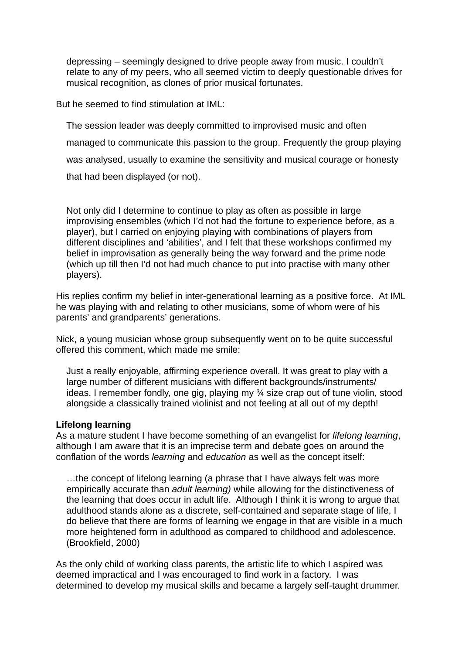depressing – seemingly designed to drive people away from music. I couldn't relate to any of my peers, who all seemed victim to deeply questionable drives for musical recognition, as clones of prior musical fortunates.

But he seemed to find stimulation at IML:

 The session leader was deeply committed to improvised music and often managed to communicate this passion to the group. Frequently the group playing was analysed, usually to examine the sensitivity and musical courage or honesty that had been displayed (or not).

 Not only did I determine to continue to play as often as possible in large improvising ensembles (which I'd not had the fortune to experience before, as a player), but I carried on enjoying playing with combinations of players from different disciplines and 'abilities', and I felt that these workshops confirmed my belief in improvisation as generally being the way forward and the prime node (which up till then I'd not had much chance to put into practise with many other players).

His replies confirm my belief in inter-generational learning as a positive force. At IML he was playing with and relating to other musicians, some of whom were of his parents' and grandparents' generations.

Nick, a young musician whose group subsequently went on to be quite successful offered this comment, which made me smile:

 Just a really enjoyable, affirming experience overall. It was great to play with a large number of different musicians with different backgrounds/instruments/ ideas. I remember fondly, one gig, playing my ¾ size crap out of tune violin, stood alongside a classically trained violinist and not feeling at all out of my depth!

## **Lifelong learning**

As a mature student I have become something of an evangelist for *lifelong learning*, although I am aware that it is an imprecise term and debate goes on around the conflation of the words *learning* and *education* as well as the concept itself:

 …the concept of lifelong learning (a phrase that I have always felt was more empirically accurate than *adult learning)* while allowing for the distinctiveness of the learning that does occur in adult life. Although I think it is wrong to argue that adulthood stands alone as a discrete, self-contained and separate stage of life, I do believe that there are forms of learning we engage in that are visible in a much more heightened form in adulthood as compared to childhood and adolescence. (Brookfield, 2000)

As the only child of working class parents, the artistic life to which I aspired was deemed impractical and I was encouraged to find work in a factory. I was determined to develop my musical skills and became a largely self-taught drummer.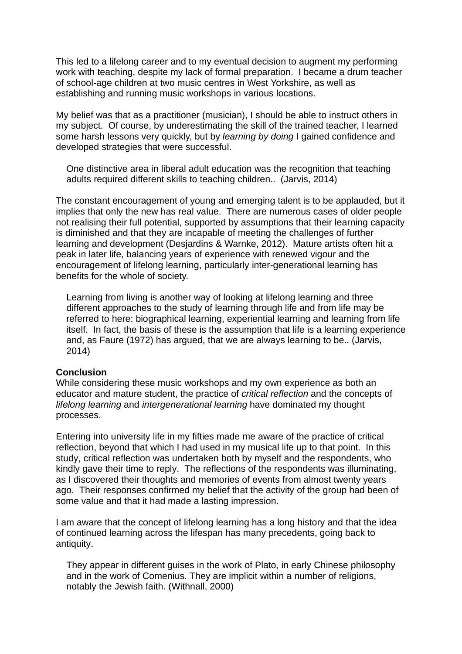This led to a lifelong career and to my eventual decision to augment my performing work with teaching, despite my lack of formal preparation. I became a drum teacher of school-age children at two music centres in West Yorkshire, as well as establishing and running music workshops in various locations.

My belief was that as a practitioner (musician), I should be able to instruct others in my subject. Of course, by underestimating the skill of the trained teacher, I learned some harsh lessons very quickly, but by *learning by doing* I gained confidence and developed strategies that were successful.

 One distinctive area in liberal adult education was the recognition that teaching adults required different skills to teaching children.. (Jarvis, 2014)

The constant encouragement of young and emerging talent is to be applauded, but it implies that only the new has real value. There are numerous cases of older people not realising their full potential, supported by assumptions that their learning capacity is diminished and that they are incapable of meeting the challenges of further learning and development (Desjardins & Warnke, 2012). Mature artists often hit a peak in later life, balancing years of experience with renewed vigour and the encouragement of lifelong learning, particularly inter-generational learning has benefits for the whole of society.

 Learning from living is another way of looking at lifelong learning and three different approaches to the study of learning through life and from life may be referred to here: biographical learning, experiential learning and learning from life itself. In fact, the basis of these is the assumption that life is a learning experience and, as Faure (1972) has argued, that we are always learning to be.. (Jarvis, 2014)

#### **Conclusion**

While considering these music workshops and my own experience as both an educator and mature student, the practice of *critical reflection* and the concepts of *lifelong learning* and *intergenerational learning* have dominated my thought processes.

Entering into university life in my fifties made me aware of the practice of critical reflection, beyond that which I had used in my musical life up to that point. In this study, critical reflection was undertaken both by myself and the respondents, who kindly gave their time to reply. The reflections of the respondents was illuminating, as I discovered their thoughts and memories of events from almost twenty years ago. Their responses confirmed my belief that the activity of the group had been of some value and that it had made a lasting impression.

I am aware that the concept of lifelong learning has a long history and that the idea of continued learning across the lifespan has many precedents, going back to antiquity.

 They appear in different guises in the work of Plato, in early Chinese philosophy and in the work of Comenius. They are implicit within a number of religions, notably the Jewish faith. (Withnall, 2000)